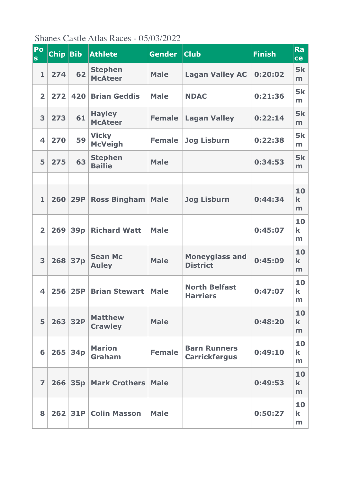Shanes Castle Atlas Races - 05/03/2022

| Po<br><b>S</b>          | Chip Bib |                 | <b>Athlete</b>                   | <b>Gender</b> | <b>Club</b>                                 | <b>Finish</b> | Ra<br>ce               |
|-------------------------|----------|-----------------|----------------------------------|---------------|---------------------------------------------|---------------|------------------------|
| $\mathbf{1}$            | 274      | 62              | <b>Stephen</b><br><b>McAteer</b> | <b>Male</b>   | <b>Lagan Valley AC</b>                      | 0:20:02       | <b>5k</b><br>m         |
| $\overline{\mathbf{2}}$ | 272      | 420             | <b>Brian Geddis</b>              | <b>Male</b>   | <b>NDAC</b>                                 | 0:21:36       | <b>5k</b><br>m         |
| 3                       | 273      | 61              | <b>Hayley</b><br><b>McAteer</b>  | <b>Female</b> | <b>Lagan Valley</b>                         | 0:22:14       | <b>5k</b><br>m         |
| $\overline{\mathbf{4}}$ | 270      | 59              | <b>Vicky</b><br><b>McVeigh</b>   | <b>Female</b> | <b>Jog Lisburn</b>                          | 0:22:38       | <b>5k</b><br>m         |
| 5                       | 275      | 63              | <b>Stephen</b><br><b>Bailie</b>  | <b>Male</b>   |                                             | 0:34:53       | <b>5k</b><br>m         |
|                         |          |                 |                                  |               |                                             |               |                        |
| $\mathbf{1}$            | 260      | <b>29P</b>      | <b>Ross Bingham</b>              | <b>Male</b>   | <b>Jog Lisburn</b>                          | 0:44:34       | 10<br>$\bf k$<br>m     |
| $\overline{\mathbf{2}}$ | 269      | 39 <sub>p</sub> | <b>Richard Watt</b>              | <b>Male</b>   |                                             | 0:45:07       | 10<br>$\bf k$<br>m     |
| 3                       | 268      | 37p             | <b>Sean Mc</b><br><b>Auley</b>   | <b>Male</b>   | <b>Moneyglass and</b><br><b>District</b>    | 0:45:09       | 10<br>$\bf k$<br>m     |
| $\overline{\mathbf{4}}$ | 256      | <b>25P</b>      | <b>Brian Stewart</b>             | <b>Male</b>   | <b>North Belfast</b><br><b>Harriers</b>     | 0:47:07       | 10<br>$\bf k$<br>m     |
| 5                       |          | 263 32P         | <b>Matthew</b><br><b>Crawley</b> | <b>Male</b>   |                                             | 0:48:20       | 10<br>$\mathbf k$<br>m |
| 6                       | 265      | 34 <sub>p</sub> | <b>Marion</b><br>Graham          | <b>Female</b> | <b>Barn Runners</b><br><b>Carrickfergus</b> | 0:49:10       | 10<br>$\bf k$<br>m     |
| $\overline{ }$          |          | 266 35p         | <b>Mark Crothers   Male</b>      |               |                                             | 0:49:53       | 10<br>$\mathbf k$<br>m |
| 8                       |          |                 | 262 31P Colin Masson             | <b>Male</b>   |                                             | 0:50:27       | 10<br>$\bf k$<br>m     |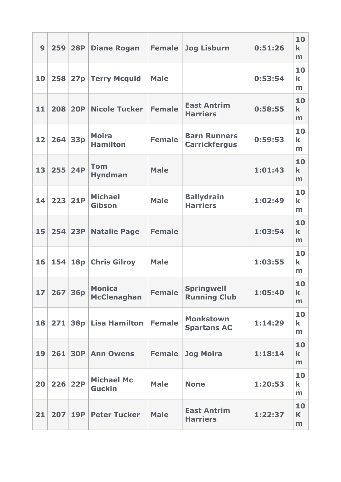| 9               | 259 | <b>28P</b> | <b>Diane Rogan</b>                  | <b>Female</b> | <b>Jog Lisburn</b>                          | 0:51:26 | 10<br>$\bf k$<br>m     |
|-----------------|-----|------------|-------------------------------------|---------------|---------------------------------------------|---------|------------------------|
| 10              |     |            | 258 27p Terry Mcquid                | <b>Male</b>   |                                             | 0:53:54 | 10<br>$\bf k$<br>m     |
| 11              | 208 | <b>20P</b> | <b>Nicole Tucker</b>                | <b>Female</b> | <b>East Antrim</b><br><b>Harriers</b>       | 0:58:55 | 10<br>$\bf k$<br>m     |
| 12              | 264 | <b>33p</b> | <b>Moira</b><br><b>Hamilton</b>     | <b>Female</b> | <b>Barn Runners</b><br><b>Carrickfergus</b> | 0:59:53 | 10<br>$\bf k$<br>m     |
| 13              |     | 255 24P    | <b>Tom</b><br><b>Hyndman</b>        | <b>Male</b>   |                                             | 1:01:43 | 10<br>$\mathbf k$<br>m |
| 14              | 223 | <b>21P</b> | <b>Michael</b><br>Gibson            | <b>Male</b>   | <b>Ballydrain</b><br><b>Harriers</b>        | 1:02:49 | 10<br>$\bf k$<br>m     |
| 15              | 254 | <b>23P</b> | <b>Natalie Page</b>                 | <b>Female</b> |                                             | 1:03:54 | 10<br>$\mathbf k$<br>m |
| 16              | 154 |            | 18p Chris Gilroy                    | <b>Male</b>   |                                             | 1:03:55 | 10<br>$\bf k$<br>m     |
| 17 <sup>1</sup> |     | 267 36p    | <b>Monica</b><br><b>McClenaghan</b> | <b>Female</b> | <b>Springwell</b><br><b>Running Club</b>    | 1:05:40 | 10<br>$\mathbf k$<br>m |
| 18              |     |            | 271 38p Lisa Hamilton               | <b>Female</b> | <b>Monkstown</b><br><b>Spartans AC</b>      | 1:14:29 | 10<br>k<br>m           |
| 19              | 261 |            | <b>30P Ann Owens</b>                | <b>Female</b> | <b>Jog Moira</b>                            | 1:18:14 | 10<br>$\bf k$<br>m     |
| 20              |     | 226 22P    | <b>Michael Mc</b><br><b>Guckin</b>  | <b>Male</b>   | <b>None</b>                                 | 1:20:53 | 10<br>k<br>m           |
| 21              | 207 | 19P        | <b>Peter Tucker</b>                 | <b>Male</b>   | <b>East Antrim</b><br><b>Harriers</b>       | 1:22:37 | 10<br>K<br>m           |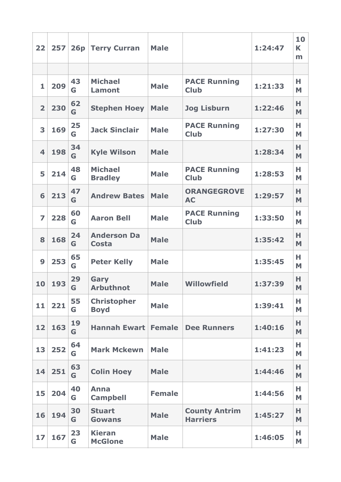| 22                      | 257 | 26p     | <b>Terry Curran</b>                | <b>Male</b>   |                                         | 1:24:47 | 10<br>K<br>m |
|-------------------------|-----|---------|------------------------------------|---------------|-----------------------------------------|---------|--------------|
|                         |     |         |                                    |               |                                         |         |              |
| $\mathbf{1}$            | 209 | 43<br>G | <b>Michael</b><br><b>Lamont</b>    | <b>Male</b>   | <b>PACE Running</b><br><b>Club</b>      | 1:21:33 | н<br>M       |
| $\overline{2}$          | 230 | 62<br>G | <b>Stephen Hoey</b>                | <b>Male</b>   | <b>Jog Lisburn</b>                      | 1:22:46 | н<br>M       |
| 3                       | 169 | 25<br>G | <b>Jack Sinclair</b>               | <b>Male</b>   | <b>PACE Running</b><br><b>Club</b>      | 1:27:30 | н<br>M       |
| $\overline{\mathbf{4}}$ | 198 | 34<br>G | <b>Kyle Wilson</b>                 | <b>Male</b>   |                                         | 1:28:34 | н<br>M       |
| 5                       | 214 | 48<br>G | <b>Michael</b><br><b>Bradley</b>   | <b>Male</b>   | <b>PACE Running</b><br><b>Club</b>      | 1:28:53 | н<br>M       |
| 6                       | 213 | 47<br>G | <b>Andrew Bates</b>                | <b>Male</b>   | <b>ORANGEGROVE</b><br><b>AC</b>         | 1:29:57 | н<br>M       |
| $\overline{z}$          | 228 | 60<br>G | <b>Aaron Bell</b>                  | <b>Male</b>   | <b>PACE Running</b><br><b>Club</b>      | 1:33:50 | Н<br>M       |
| 8                       | 168 | 24<br>G | <b>Anderson Da</b><br><b>Costa</b> | <b>Male</b>   |                                         | 1:35:42 | н<br>M       |
| $\boldsymbol{9}$        | 253 | 65<br>G | <b>Peter Kelly</b>                 | <b>Male</b>   |                                         | 1:35:45 | н<br>M       |
| 10                      | 193 | 29<br>G | Gary<br><b>Arbuthnot</b>           | <b>Male</b>   | <b>Willowfield</b>                      | 1:37:39 | н<br>M       |
| 11                      | 221 | 55<br>G | <b>Christopher</b><br><b>Boyd</b>  | <b>Male</b>   |                                         | 1:39:41 | н<br>M       |
| 12                      | 163 | 19<br>G | <b>Hannah Ewart</b>                | <b>Female</b> | <b>Dee Runners</b>                      | 1:40:16 | н<br>M       |
| 13                      | 252 | 64<br>G | <b>Mark Mckewn</b>                 | <b>Male</b>   |                                         | 1:41:23 | н<br>M       |
| 14                      | 251 | 63<br>G | <b>Colin Hoey</b>                  | <b>Male</b>   |                                         | 1:44:46 | н<br>M       |
| 15                      | 204 | 40<br>G | <b>Anna</b><br><b>Campbell</b>     | <b>Female</b> |                                         | 1:44:56 | н<br>M       |
| 16                      | 194 | 30<br>G | <b>Stuart</b><br><b>Gowans</b>     | <b>Male</b>   | <b>County Antrim</b><br><b>Harriers</b> | 1:45:27 | н<br>M       |
| 17                      | 167 | 23<br>G | <b>Kieran</b><br><b>McGlone</b>    | <b>Male</b>   |                                         | 1:46:05 | н<br>M       |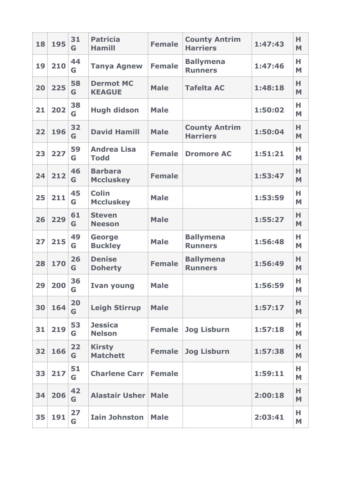| 18 | 195 | 31<br>G | <b>Patricia</b><br><b>Hamill</b>   | <b>Female</b> | <b>County Antrim</b><br><b>Harriers</b> | 1:47:43 | н<br>M |
|----|-----|---------|------------------------------------|---------------|-----------------------------------------|---------|--------|
| 19 | 210 | 44<br>G | <b>Tanya Agnew</b>                 | <b>Female</b> | <b>Ballymena</b><br><b>Runners</b>      | 1:47:46 | н<br>M |
| 20 | 225 | 58<br>G | <b>Dermot MC</b><br><b>KEAGUE</b>  | <b>Male</b>   | <b>Tafelta AC</b>                       | 1:48:18 | н<br>M |
| 21 | 202 | 38<br>G | <b>Hugh didson</b>                 | <b>Male</b>   |                                         | 1:50:02 | н<br>M |
| 22 | 196 | 32<br>G | <b>David Hamill</b>                | <b>Male</b>   | <b>County Antrim</b><br><b>Harriers</b> | 1:50:04 | н<br>M |
| 23 | 227 | 59<br>G | <b>Andrea Lisa</b><br><b>Todd</b>  | <b>Female</b> | <b>Dromore AC</b>                       | 1:51:21 | н<br>M |
| 24 | 212 | 46<br>G | <b>Barbara</b><br><b>Mccluskey</b> | <b>Female</b> |                                         | 1:53:47 | н<br>M |
| 25 | 211 | 45<br>G | <b>Colin</b><br><b>Mccluskey</b>   | <b>Male</b>   |                                         | 1:53:59 | Н<br>M |
| 26 | 229 | 61<br>G | <b>Steven</b><br><b>Neeson</b>     | <b>Male</b>   |                                         | 1:55:27 | н<br>M |
| 27 | 215 | 49<br>G | <b>George</b><br><b>Buckley</b>    | <b>Male</b>   | <b>Ballymena</b><br><b>Runners</b>      | 1:56:48 | н<br>M |
| 28 | 170 | 26<br>G | <b>Denise</b><br><b>Doherty</b>    | <b>Female</b> | <b>Ballymena</b><br><b>Runners</b>      | 1:56:49 | н<br>M |
| 29 | 200 | 36<br>G | <b>Ivan young</b>                  | <b>Male</b>   |                                         | 1:56:59 | н<br>M |
| 30 | 164 | 20<br>G | <b>Leigh Stirrup</b>               | <b>Male</b>   |                                         | 1:57:17 | н<br>M |
| 31 | 219 | 53<br>G | <b>Jessica</b><br><b>Nelson</b>    | <b>Female</b> | <b>Jog Lisburn</b>                      | 1:57:18 | н<br>M |
| 32 | 166 | 22<br>G | <b>Kirsty</b><br><b>Matchett</b>   | <b>Female</b> | <b>Jog Lisburn</b>                      | 1:57:38 | н<br>M |
| 33 | 217 | 51<br>G | <b>Charlene Carr</b>               | <b>Female</b> |                                         | 1:59:11 | н<br>M |
| 34 | 206 | 42<br>G | <b>Alastair Usher</b>              | <b>Male</b>   |                                         | 2:00:18 | н<br>M |
| 35 | 191 | 27<br>G | <b>Iain Johnston</b>               | <b>Male</b>   |                                         | 2:03:41 | н<br>M |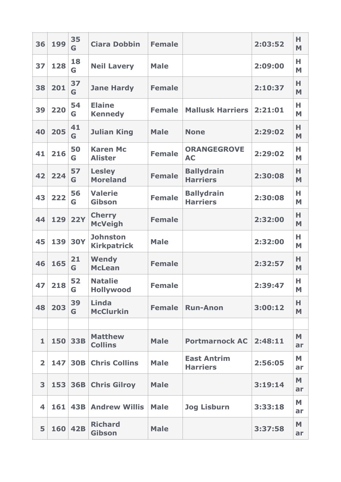| 36                      | 199 | 35<br>G    | <b>Ciara Dobbin</b>                   | <b>Female</b> |                                       | 2:03:52 | н<br>M  |
|-------------------------|-----|------------|---------------------------------------|---------------|---------------------------------------|---------|---------|
| 37                      | 128 | 18<br>G    | <b>Neil Lavery</b>                    | <b>Male</b>   |                                       | 2:09:00 | н<br>M  |
| 38                      | 201 | 37<br>G    | <b>Jane Hardy</b>                     | <b>Female</b> |                                       | 2:10:37 | н<br>M  |
| 39                      | 220 | 54<br>G    | <b>Elaine</b><br><b>Kennedy</b>       | <b>Female</b> | <b>Mallusk Harriers</b>               | 2:21:01 | н<br>M  |
| 40                      | 205 | 41<br>G    | <b>Julian King</b>                    | <b>Male</b>   | <b>None</b>                           | 2:29:02 | н<br>M  |
| 41                      | 216 | 50<br>G    | <b>Karen Mc</b><br><b>Alister</b>     | <b>Female</b> | <b>ORANGEGROVE</b><br><b>AC</b>       | 2:29:02 | н<br>M  |
| 42                      | 224 | 57<br>G    | <b>Lesley</b><br><b>Moreland</b>      | <b>Female</b> | <b>Ballydrain</b><br><b>Harriers</b>  | 2:30:08 | н<br>M  |
| 43                      | 222 | 56<br>G    | <b>Valerie</b><br><b>Gibson</b>       | <b>Female</b> | <b>Ballydrain</b><br><b>Harriers</b>  | 2:30:08 | н<br>M  |
| 44                      | 129 | <b>22Y</b> | <b>Cherry</b><br><b>McVeigh</b>       | <b>Female</b> |                                       | 2:32:00 | н<br>M  |
| 45                      | 139 | <b>30Y</b> | <b>Johnston</b><br><b>Kirkpatrick</b> | <b>Male</b>   |                                       | 2:32:00 | н<br>M  |
| 46                      | 165 | 21<br>G    | Wendy<br><b>McLean</b>                | <b>Female</b> |                                       | 2:32:57 | н<br>M  |
| 47                      | 218 | 52<br>G    | <b>Natalie</b><br><b>Hollywood</b>    | <b>Female</b> |                                       | 2:39:47 | н<br>M  |
| 48                      | 203 | 39<br>G    | Linda<br><b>McClurkin</b>             | <b>Female</b> | <b>Run-Anon</b>                       | 3:00:12 | н<br>M  |
|                         |     |            |                                       |               |                                       |         |         |
| $\mathbf{1}$            | 150 | <b>33B</b> | <b>Matthew</b><br><b>Collins</b>      | <b>Male</b>   | <b>Portmarnock AC</b>                 | 2:48:11 | M<br>ar |
| $\overline{\mathbf{2}}$ | 147 | <b>30B</b> | <b>Chris Collins</b>                  | <b>Male</b>   | <b>East Antrim</b><br><b>Harriers</b> | 2:56:05 | M<br>ar |
| 3                       | 153 | <b>36B</b> | <b>Chris Gilroy</b>                   | <b>Male</b>   |                                       | 3:19:14 | M<br>ar |
| 4                       | 161 | <b>43B</b> | <b>Andrew Willis</b>                  | <b>Male</b>   | <b>Jog Lisburn</b>                    | 3:33:18 | M<br>ar |
| 5                       | 160 | <b>42B</b> | <b>Richard</b><br>Gibson              | <b>Male</b>   |                                       | 3:37:58 | M<br>ar |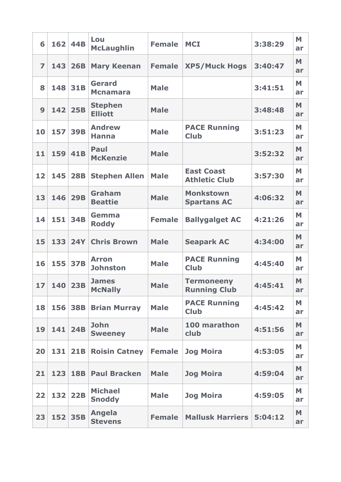| 6                | 162 | <b>44B</b> | Lou<br><b>McLaughlin</b>         | <b>Female</b> | <b>MCI</b>                                | 3:38:29 | M<br>ar |
|------------------|-----|------------|----------------------------------|---------------|-------------------------------------------|---------|---------|
| $\overline{z}$   | 143 | <b>26B</b> | <b>Mary Keenan</b>               | <b>Female</b> | <b>XP5/Muck Hogs</b>                      | 3:40:47 | M<br>ar |
| 8                | 148 | <b>31B</b> | <b>Gerard</b><br><b>Mcnamara</b> | <b>Male</b>   |                                           | 3:41:51 | M<br>ar |
| $\boldsymbol{9}$ | 142 | 25B        | <b>Stephen</b><br><b>Elliott</b> | <b>Male</b>   |                                           | 3:48:48 | M<br>ar |
| 10               | 157 | <b>39B</b> | <b>Andrew</b><br><b>Hanna</b>    | <b>Male</b>   | <b>PACE Running</b><br><b>Club</b>        | 3:51:23 | M<br>ar |
| 11               | 159 | <b>41B</b> | Paul<br><b>McKenzie</b>          | <b>Male</b>   |                                           | 3:52:32 | M<br>ar |
| 12               | 145 | <b>28B</b> | <b>Stephen Allen</b>             | <b>Male</b>   | <b>East Coast</b><br><b>Athletic Club</b> | 3:57:30 | M<br>ar |
| 13               | 146 | <b>29B</b> | <b>Graham</b><br><b>Beattie</b>  | <b>Male</b>   | <b>Monkstown</b><br><b>Spartans AC</b>    | 4:06:32 | M<br>ar |
| 14               | 151 | <b>34B</b> | Gemma<br><b>Roddy</b>            | <b>Female</b> | <b>Ballygalget AC</b>                     | 4:21:26 | M<br>ar |
| 15               | 133 | <b>24Y</b> | <b>Chris Brown</b>               | <b>Male</b>   | <b>Seapark AC</b>                         | 4:34:00 | M<br>ar |
| 16               | 155 | <b>37B</b> | <b>Arron</b><br><b>Johnston</b>  | <b>Male</b>   | <b>PACE Running</b><br><b>Club</b>        | 4:45:40 | M<br>ar |
| 17               | 140 | 23B        | <b>James</b><br><b>McNally</b>   | <b>Male</b>   | <b>Termoneeny</b><br><b>Running Club</b>  | 4:45:41 | M<br>ar |
| 18               | 156 | <b>38B</b> | <b>Brian Murray</b>              | <b>Male</b>   | <b>PACE Running</b><br><b>Club</b>        | 4:45:42 | M<br>ar |
| 19               | 141 | <b>24B</b> | <b>John</b><br><b>Sweeney</b>    | <b>Male</b>   | 100 marathon<br>club                      | 4:51:56 | M<br>ar |
| 20               | 131 | 21B        | <b>Roisin Catney</b>             | <b>Female</b> | <b>Jog Moira</b>                          | 4:53:05 | M<br>ar |
| 21               | 123 | <b>18B</b> | <b>Paul Bracken</b>              | <b>Male</b>   | <b>Jog Moira</b>                          | 4:59:04 | M<br>ar |
| 22               | 132 | 22B        | <b>Michael</b><br><b>Snoddy</b>  | <b>Male</b>   | <b>Jog Moira</b>                          | 4:59:05 | M<br>ar |
| 23               |     | 152 35B    | <b>Angela</b><br><b>Stevens</b>  | <b>Female</b> | <b>Mallusk Harriers</b>                   | 5:04:12 | M<br>ar |